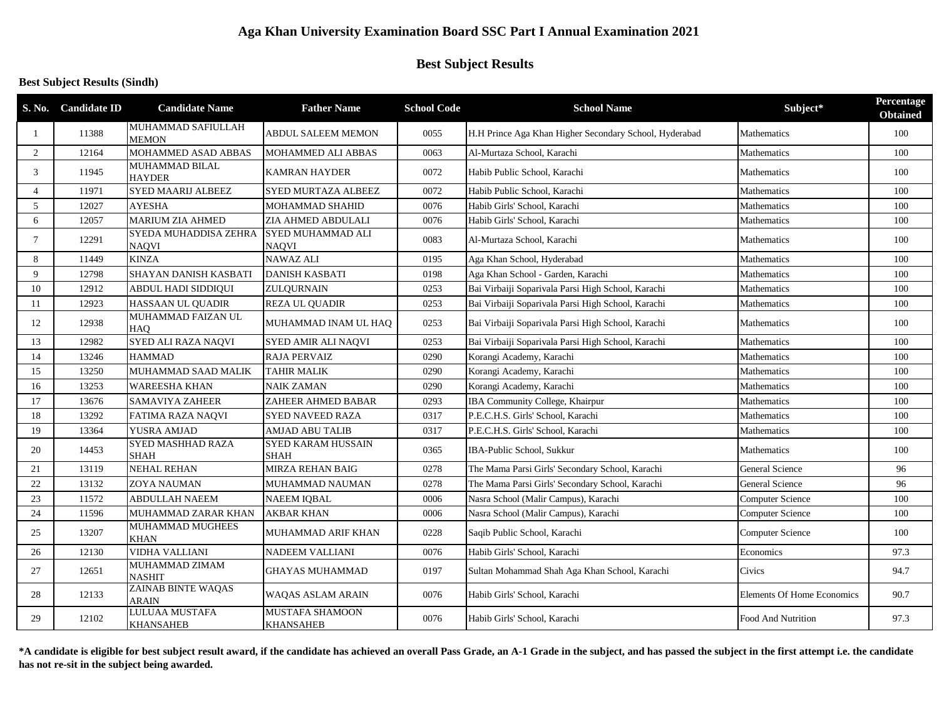# **Aga Khan University Examination Board SSC Part I Annual Examination 2021**

# **Best Subject Results**

#### **Best Subject Results (Sindh)**

|                          | S. No. Candidate ID | <b>Candidate Name</b>                     | <b>Father Name</b>                       | <b>School Code</b> | <b>School Name</b>                                     | Subject*                   | Percentage<br><b>Obtained</b> |
|--------------------------|---------------------|-------------------------------------------|------------------------------------------|--------------------|--------------------------------------------------------|----------------------------|-------------------------------|
|                          | 11388               | <b>MUHAMMAD SAFIULLAH</b><br>MEMON        | ABDUL SALEEM MEMON                       | 0055               | H.H Prince Aga Khan Higher Secondary School, Hyderabad | Mathematics                | 100                           |
| 2                        | 12164               | MOHAMMED ASAD ABBAS                       | MOHAMMED ALI ABBAS                       | 0063               | Al-Murtaza School, Karachi                             | Mathematics                | 100                           |
| 3                        | 11945               | MUHAMMAD BILAL<br><b>HAYDER</b>           | <b>KAMRAN HAYDER</b>                     | 0072               | Habib Public School, Karachi                           | Mathematics                | 100                           |
| $\boldsymbol{\varDelta}$ | 11971               | <b>SYED MAARIJ ALBEEZ</b>                 | SYED MURTAZA ALBEEZ                      | 0072               | Habib Public School, Karachi                           | Mathematics                | 100                           |
| 5                        | 12027               | <b>AYESHA</b>                             | MOHAMMAD SHAHID                          | 0076               | Habib Girls' School, Karachi                           | Mathematics                | 100                           |
| 6                        | 12057               | <b>MARIUM ZIA AHMED</b>                   | ZIA AHMED ABDULALI                       | 0076               | Habib Girls' School, Karachi                           | Mathematics                | 100                           |
| $\tau$                   | 12291               | SYEDA MUHADDISA ZEHRA<br>NAQVI            | SYED MUHAMMAD ALI<br><b>NAOVI</b>        | 0083               | Al-Murtaza School, Karachi                             | <b>Mathematics</b>         | 100                           |
| 8                        | 11449               | <b>KINZA</b>                              | NAWAZ ALI                                | 0195               | Aga Khan School, Hyderabad                             | Mathematics                | 100                           |
| 9                        | 12798               | SHAYAN DANISH KASBATI                     | <b>DANISH KASBATI</b>                    | 0198               | Aga Khan School - Garden, Karachi                      | Mathematics                | 100                           |
| 10                       | 12912               | <b>ABDUL HADI SIDDIQUI</b>                | ZULQURNAIN                               | 0253               | Bai Virbaiji Soparivala Parsi High School, Karachi     | Mathematics                | 100                           |
| 11                       | 12923               | HASSAAN UL QUADIR                         | <b>REZA UL QUADIR</b>                    | 0253               | Bai Virbaiji Soparivala Parsi High School, Karachi     | Mathematics                | 100                           |
| 12                       | 12938               | MUHAMMAD FAIZAN UL<br>HAO                 | MUHAMMAD INAM UL HAQ                     | 0253               | Bai Virbaiji Soparivala Parsi High School, Karachi     | Mathematics                | 100                           |
| 13                       | 12982               | SYED ALI RAZA NAQVI                       | SYED AMIR ALI NAQVI                      | 0253               | Bai Virbaiji Soparivala Parsi High School, Karachi     | Mathematics                | 100                           |
| 14                       | 13246               | <b>HAMMAD</b>                             | <b>RAJA PERVAIZ</b>                      | 0290               | Korangi Academy, Karachi                               | Mathematics                | 100                           |
| 15                       | 13250               | MUHAMMAD SAAD MALIK                       | <b>TAHIR MALIK</b>                       | 0290               | Korangi Academy, Karachi                               | Mathematics                | 100                           |
| 16                       | 13253               | WAREESHA KHAN                             | <b>NAIK ZAMAN</b>                        | 0290               | Korangi Academy, Karachi                               | Mathematics                | 100                           |
| 17                       | 13676               | <b>SAMAVIYA ZAHEER</b>                    | ZAHEER AHMED BABAR                       | 0293               | IBA Community College, Khairpur                        | Mathematics                | 100                           |
| 18                       | 13292               | <b>FATIMA RAZA NAOVI</b>                  | <b>SYED NAVEED RAZA</b>                  | 0317               | P.E.C.H.S. Girls' School, Karachi                      | Mathematics                | 100                           |
| 19                       | 13364               | YUSRA AMJAD                               | AMJAD ABU TALIB                          | 0317               | P.E.C.H.S. Girls' School, Karachi                      | Mathematics                | 100                           |
| 20                       | 14453               | <b>SYED MASHHAD RAZA</b><br><b>SHAH</b>   | <b>SYED KARAM HUSSAIN</b><br><b>SHAH</b> | 0365               | IBA-Public School, Sukkur                              | Mathematics                | 100                           |
| 21                       | 13119               | NEHAL REHAN                               | <b>MIRZA REHAN BAIG</b>                  | 0278               | The Mama Parsi Girls' Secondary School, Karachi        | <b>General Science</b>     | 96                            |
| 22                       | 13132               | ZOYA NAUMAN                               | MUHAMMAD NAUMAN                          | 0278               | The Mama Parsi Girls' Secondary School, Karachi        | <b>General Science</b>     | 96                            |
| 23                       | 11572               | <b>ABDULLAH NAEEM</b>                     | <b>NAEEM IOBAL</b>                       | 0006               | Nasra School (Malir Campus), Karachi                   | Computer Science           | 100                           |
| 24                       | 11596               | MUHAMMAD ZARAR KHAN                       | <b>AKBAR KHAN</b>                        | 0006               | Nasra School (Malir Campus), Karachi                   | Computer Science           | 100                           |
| 25                       | 13207               | MUHAMMAD MUGHEES<br><b>KHAN</b>           | MUHAMMAD ARIF KHAN                       | 0228               | Saqib Public School, Karachi                           | Computer Science           | 100                           |
| 26                       | 12130               | VIDHA VALLIANI                            | <b>NADEEM VALLIANI</b>                   | 0076               | Habib Girls' School, Karachi                           | Economics                  | 97.3                          |
| 27                       | 12651               | MUHAMMAD ZIMAM<br><b>NASHIT</b>           | <b>GHAYAS MUHAMMAD</b>                   | 0197               | Sultan Mohammad Shah Aga Khan School, Karachi          | Civics                     | 94.7                          |
| 28                       | 12133               | <b>ZAINAB BINTE WAQAS</b><br><b>ARAIN</b> | WAQAS ASLAM ARAIN                        | 0076               | Habib Girls' School, Karachi                           | Elements Of Home Economics | 90.7                          |
| 29                       | 12102               | LULUAA MUSTAFA<br><b>KHANSAHEB</b>        | MUSTAFA SHAMOON<br><b>KHANSAHEB</b>      | 0076               | Habib Girls' School, Karachi                           | <b>Food And Nutrition</b>  | 97.3                          |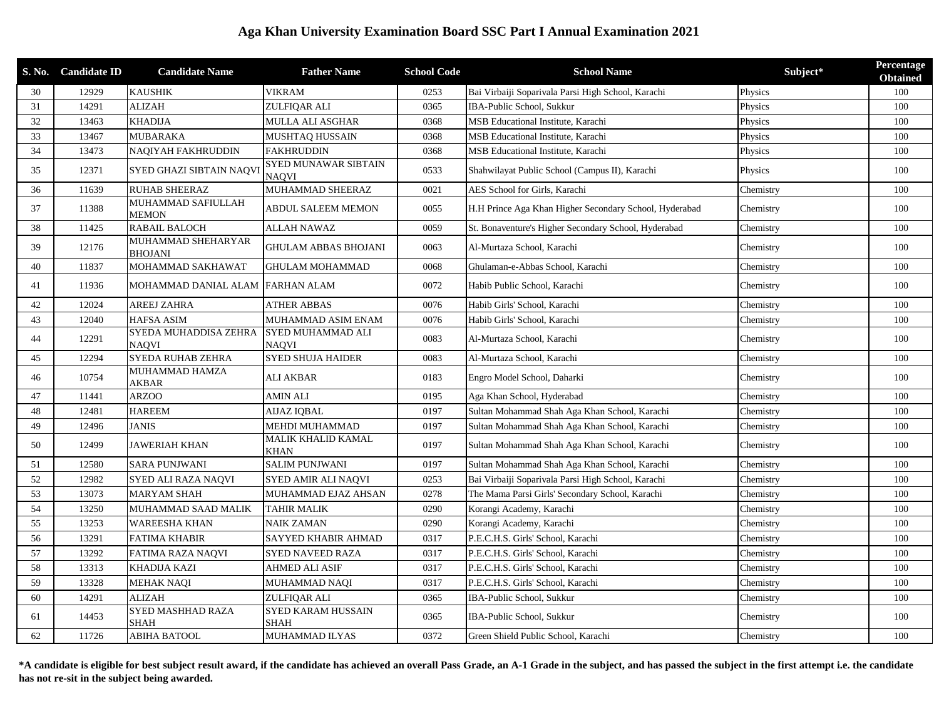## **Aga Khan University Examination Board SSC Part I Annual Examination 2021**

|    | S. No. Candidate ID | <b>Candidate Name</b>                 | <b>Father Name</b>                   | <b>School Code</b> | <b>School Name</b>                                     | Subject*  | Percentage<br><b>Obtained</b> |
|----|---------------------|---------------------------------------|--------------------------------------|--------------------|--------------------------------------------------------|-----------|-------------------------------|
| 30 | 12929               | <b>KAUSHIK</b>                        | <b>VIKRAM</b>                        | 0253               | Bai Virbaiji Soparivala Parsi High School, Karachi     | Physics   | 100                           |
| 31 | 14291               | <b>ALIZAH</b>                         | ZULFIQAR ALI                         | 0365               | IBA-Public School, Sukkur                              | Physics   | 100                           |
| 32 | 13463               | <b>KHADIJA</b>                        | MULLA ALI ASGHAR                     | 0368               | MSB Educational Institute, Karachi                     | Physics   | 100                           |
| 33 | 13467               | MUBARAKA                              | MUSHTAQ HUSSAIN                      | 0368               | MSB Educational Institute, Karachi                     | Physics   | 100                           |
| 34 | 13473               | NAQIYAH FAKHRUDDIN                    | <b>FAKHRUDDIN</b>                    | 0368               | MSB Educational Institute, Karachi                     | Physics   | 100                           |
| 35 | 12371               | SYED GHAZI SIBTAIN NAQVI              | <b>SYED MUNAWAR SIBTAIN</b><br>NAQVI | 0533               | Shahwilayat Public School (Campus II), Karachi         | Physics   | 100                           |
| 36 | 11639               | <b>RUHAB SHEERAZ</b>                  | MUHAMMAD SHEERAZ                     | 0021               | AES School for Girls, Karachi                          | Chemistry | 100                           |
| 37 | 11388               | MUHAMMAD SAFIULLAH<br><b>MEMON</b>    | <b>ABDUL SALEEM MEMON</b>            | 0055               | H.H Prince Aga Khan Higher Secondary School, Hyderabad | Chemistry | 100                           |
| 38 | 11425               | RABAIL BALOCH                         | <b>ALLAH NAWAZ</b>                   | 0059               | St. Bonaventure's Higher Secondary School, Hyderabad   | Chemistry | 100                           |
| 39 | 12176               | MUHAMMAD SHEHARYAR<br><b>BHOJANI</b>  | <b>GHULAM ABBAS BHOJANI</b>          | 0063               | Al-Murtaza School, Karachi                             | Chemistry | 100                           |
| 40 | 11837               | MOHAMMAD SAKHAWAT                     | <b>GHULAM MOHAMMAD</b>               | 0068               | Ghulaman-e-Abbas School, Karachi                       | Chemistry | 100                           |
| 41 | 11936               | MOHAMMAD DANIAL ALAM                  | <b>FARHAN ALAM</b>                   | 0072               | Habib Public School, Karachi                           | Chemistry | 100                           |
| 42 | 12024               | AREEJ ZAHRA                           | <b>ATHER ABBAS</b>                   | 0076               | Habib Girls' School, Karachi                           | Chemistry | 100                           |
| 43 | 12040               | <b>HAFSA ASIM</b>                     | MUHAMMAD ASIM ENAM                   | 0076               | Habib Girls' School, Karachi                           | Chemistry | 100                           |
| 44 | 12291               | SYEDA MUHADDISA ZEHRA<br><b>NAQVI</b> | SYED MUHAMMAD ALI<br><b>NAQVI</b>    | 0083               | Al-Murtaza School, Karachi                             | Chemistry | 100                           |
| 45 | 12294               | SYEDA RUHAB ZEHRA                     | <b>SYED SHUJA HAIDER</b>             | 0083               | Al-Murtaza School, Karachi                             | Chemistry | 100                           |
| 46 | 10754               | MUHAMMAD HAMZA<br>AKBAR               | ALI AKBAR                            | 0183               | Engro Model School, Daharki                            | Chemistry | 100                           |
| 47 | 11441               | <b>ARZOO</b>                          | <b>AMIN ALI</b>                      | 0195               | Aga Khan School, Hyderabad                             | Chemistry | 100                           |
| 48 | 12481               | <b>HAREEM</b>                         | <b>AIJAZ IQBAL</b>                   | 0197               | Sultan Mohammad Shah Aga Khan School, Karachi          | Chemistry | 100                           |
| 49 | 12496               | <b>JANIS</b>                          | MEHDI MUHAMMAD                       | 0197               | Sultan Mohammad Shah Aga Khan School, Karachi          | Chemistry | 100                           |
| 50 | 12499               | <b>JAWERIAH KHAN</b>                  | MALIK KHALID KAMAL<br><b>KHAN</b>    | 0197               | Sultan Mohammad Shah Aga Khan School, Karachi          | Chemistry | 100                           |
| 51 | 12580               | <b>SARA PUNJWANI</b>                  | <b>SALIM PUNJWANI</b>                | 0197               | Sultan Mohammad Shah Aga Khan School, Karachi          | Chemistry | 100                           |
| 52 | 12982               | SYED ALI RAZA NAQVI                   | SYED AMIR ALI NAQVI                  | 0253               | Bai Virbaiji Soparivala Parsi High School, Karachi     | Chemistry | 100                           |
| 53 | 13073               | <b>MARYAM SHAH</b>                    | MUHAMMAD EJAZ AHSAN                  | 0278               | The Mama Parsi Girls' Secondary School, Karachi        | Chemistry | 100                           |
| 54 | 13250               | MUHAMMAD SAAD MALIK                   | <b>TAHIR MALIK</b>                   | 0290               | Korangi Academy, Karachi                               | Chemistry | 100                           |
| 55 | 13253               | WAREESHA KHAN                         | <b>NAIK ZAMAN</b>                    | 0290               | Korangi Academy, Karachi                               | Chemistry | 100                           |
| 56 | 13291               | <b>FATIMA KHABIR</b>                  | <b>SAYYED KHABIR AHMAD</b>           | 0317               | P.E.C.H.S. Girls' School, Karachi                      | Chemistry | 100                           |
| 57 | 13292               | FATIMA RAZA NAQVI                     | <b>SYED NAVEED RAZA</b>              | 0317               | P.E.C.H.S. Girls' School, Karachi                      | Chemistry | 100                           |
| 58 | 13313               | KHADIJA KAZI                          | AHMED ALI ASIF                       | 0317               | P.E.C.H.S. Girls' School, Karachi                      | Chemistry | 100                           |
| 59 | 13328               | <b>MEHAK NAQI</b>                     | MUHAMMAD NAQI                        | 0317               | P.E.C.H.S. Girls' School, Karachi                      | Chemistry | 100                           |
| 60 | 14291               | <b>ALIZAH</b>                         | ZULFIOAR ALI                         | 0365               | IBA-Public School, Sukkur                              | Chemistry | 100                           |
| 61 | 14453               | SYED MASHHAD RAZA<br>SHAH             | SYED KARAM HUSSAIN<br><b>SHAH</b>    | 0365               | IBA-Public School, Sukkur                              | Chemistry | 100                           |
| 62 | 11726               | <b>ABIHA BATOOL</b>                   | MUHAMMAD ILYAS                       | 0372               | Green Shield Public School, Karachi                    | Chemistry | 100                           |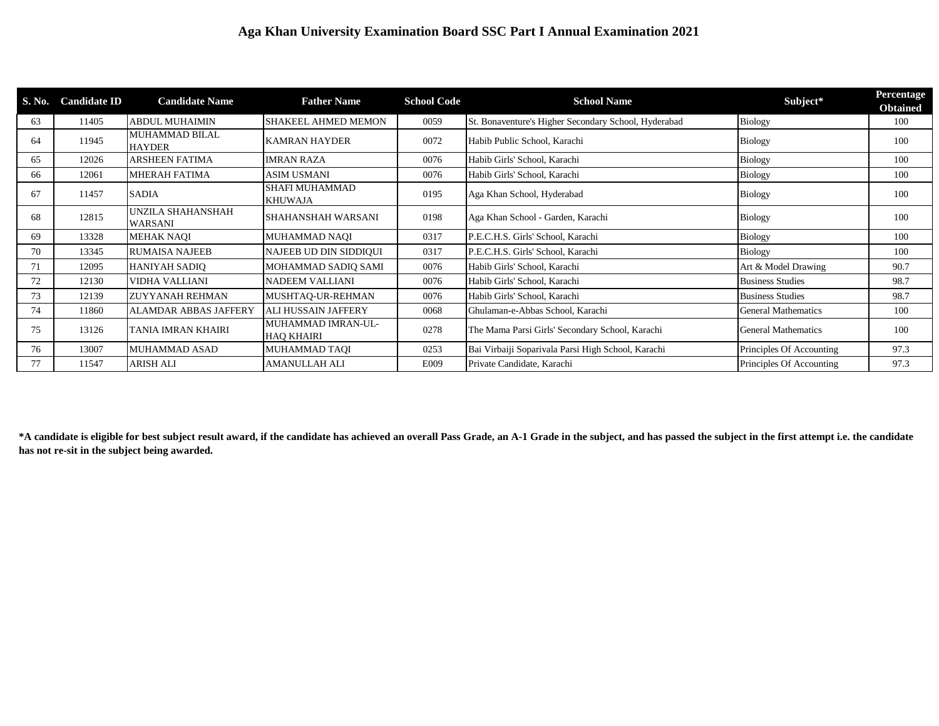## **Aga Khan University Examination Board SSC Part I Annual Examination 2021**

| S. No. | <b>Candidate ID</b> | <b>Candidate Name</b>               | <b>Father Name</b>                      | <b>School Code</b> | <b>School Name</b>                                   | Subject*                   | Percentage<br><b>Obtained</b> |
|--------|---------------------|-------------------------------------|-----------------------------------------|--------------------|------------------------------------------------------|----------------------------|-------------------------------|
| 63     | 11405               | <b>ABDUL MUHAIMIN</b>               | <b>SHAKEEL AHMED MEMON</b>              | 0059               | St. Bonaventure's Higher Secondary School, Hyderabad | <b>Biology</b>             | 100                           |
| 64     | 11945               | MUHAMMAD BILAL<br><b>HAYDER</b>     | <b>KAMRAN HAYDER</b>                    | 0072               | Habib Public School, Karachi                         | Biology                    | 100                           |
| 65     | 12026               | ARSHEEN FATIMA                      | <b>IMRAN RAZA</b>                       | 0076               | Habib Girls' School, Karachi                         | <b>Biology</b>             | 100                           |
| 66     | 12061               | MHERAH FATIMA                       | ASIM USMANI                             | 0076               | Habib Girls' School, Karachi                         | Biology                    | 100                           |
| 67     | 11457               | <b>SADIA</b>                        | <b>SHAFI MUHAMMAD</b><br><b>KHUWAJA</b> | 0195               | Aga Khan School, Hyderabad                           | Biology                    | 100                           |
| 68     | 12815               | UNZILA SHAHANSHAH<br><b>WARSANI</b> | <b>SHAHANSHAH WARSANI</b>               | 0198               | Aga Khan School - Garden, Karachi                    | Biology                    | 100                           |
| 69     | 13328               | MEHAK NAOI                          | <b>MUHAMMAD NAOI</b>                    | 0317               | P.E.C.H.S. Girls' School, Karachi                    | <b>Biology</b>             | 100                           |
| 70     | 13345               | <b>RUMAISA NAJEEB</b>               | NAJEEB UD DIN SIDDIOUI                  | 0317               | P.E.C.H.S. Girls' School, Karachi                    | <b>Biology</b>             | 100                           |
| 71     | 12095               | <b>HANIYAH SADIO</b>                | MOHAMMAD SADIO SAMI                     | 0076               | Habib Girls' School, Karachi                         | Art & Model Drawing        | 90.7                          |
| 72     | 12130               | VIDHA VALLIANI                      | NADEEM VALLIANI                         | 0076               | Habib Girls' School, Karachi                         | <b>Business Studies</b>    | 98.7                          |
| 73     | 12139               | <b>ZUYYANAH REHMAN</b>              | MUSHTAO-UR-REHMAN                       | 0076               | Habib Girls' School, Karachi                         | <b>Business Studies</b>    | 98.7                          |
| 74     | 11860               | ALAMDAR ABBAS JAFFERY               | <b>ALI HUSSAIN JAFFERY</b>              | 0068               | Ghulaman-e-Abbas School, Karachi                     | <b>General Mathematics</b> | 100                           |
| 75     | 13126               | TANIA IMRAN KHAIRI                  | MUHAMMAD IMRAN-UL-<br><b>HAO KHAIRI</b> | 0278               | The Mama Parsi Girls' Secondary School, Karachi      | <b>General Mathematics</b> | 100                           |
| 76     | 13007               | MUHAMMAD ASAD                       | <b>MUHAMMAD TAOI</b>                    | 0253               | Bai Virbaiji Soparivala Parsi High School, Karachi   | Principles Of Accounting   | 97.3                          |
| 77     | 11547               | ARISH ALI                           | <b>AMANULLAH ALI</b>                    | E009               | Private Candidate, Karachi                           | Principles Of Accounting   | 97.3                          |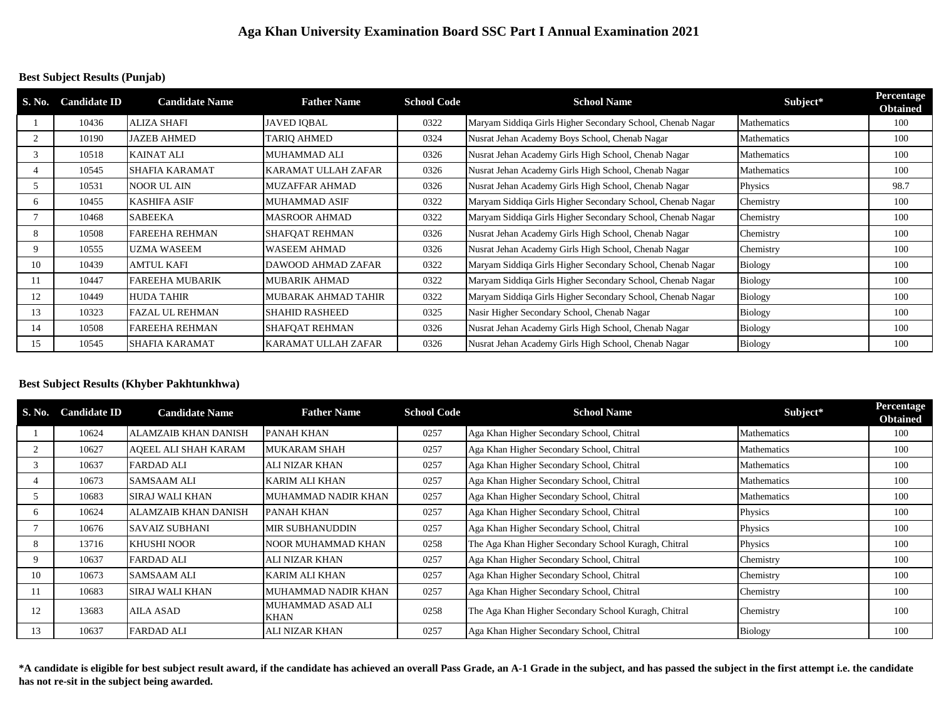### **Best Subject Results (Punjab)**

| S. No.       | <b>Candidate ID</b> | <b>Candidate Name</b>  | <b>Father Name</b>    | <b>School Code</b> | <b>School Name</b>                                         | Subject*       | <b>Percentage</b><br><b>Obtained</b> |
|--------------|---------------------|------------------------|-----------------------|--------------------|------------------------------------------------------------|----------------|--------------------------------------|
|              | 10436               | <b>ALIZA SHAFI</b>     | <b>JAVED IOBAL</b>    | 0322               | Maryam Siddiqa Girls Higher Secondary School, Chenab Nagar | Mathematics    | 100                                  |
|              | 10190               | <b>JAZEB AHMED</b>     | <b>TARIQ AHMED</b>    | 0324               | Nusrat Jehan Academy Boys School, Chenab Nagar             | Mathematics    | 100                                  |
| 3            | 10518               | <b>KAINAT ALI</b>      | <b>MUHAMMAD ALI</b>   | 0326               | Nusrat Jehan Academy Girls High School, Chenab Nagar       | Mathematics    | 100                                  |
|              | 10545               | <b>SHAFIA KARAMAT</b>  | KARAMAT ULLAH ZAFAR   | 0326               | Nusrat Jehan Academy Girls High School, Chenab Nagar       | Mathematics    | 100                                  |
| 5            | 10531               | <b>NOOR UL AIN</b>     | <b>MUZAFFAR AHMAD</b> | 0326               | Nusrat Jehan Academy Girls High School, Chenab Nagar       | Physics        | 98.7                                 |
| <sub>6</sub> | 10455               | <b>KASHIFA ASIF</b>    | <b>MUHAMMAD ASIF</b>  | 0322               | Maryam Siddiqa Girls Higher Secondary School, Chenab Nagar | Chemistry      | 100                                  |
|              | 10468               | <b>SABEEKA</b>         | <b>MASROOR AHMAD</b>  | 0322               | Maryam Siddiga Girls Higher Secondary School, Chenab Nagar | Chemistry      | 100                                  |
| 8            | 10508               | FAREEHA REHMAN         | <b>SHAFOAT REHMAN</b> | 0326               | Nusrat Jehan Academy Girls High School, Chenab Nagar       | Chemistry      | 100                                  |
|              | 10555               | <b>UZMA WASEEM</b>     | <b>WASEEM AHMAD</b>   | 0326               | Nusrat Jehan Academy Girls High School, Chenab Nagar       | Chemistry      | 100                                  |
| 10           | 10439               | <b>AMTUL KAFI</b>      | DAWOOD AHMAD ZAFAR    | 0322               | Maryam Siddiqa Girls Higher Secondary School, Chenab Nagar | <b>Biology</b> | 100                                  |
|              | 10447               | <b>FAREEHA MUBARIK</b> | <b>MUBARIK AHMAD</b>  | 0322               | Maryam Siddiqa Girls Higher Secondary School, Chenab Nagar | <b>Biology</b> | 100                                  |
| 12           | 10449               | <b>HUDA TAHIR</b>      | MUBARAK AHMAD TAHIR   | 0322               | Maryam Siddiqa Girls Higher Secondary School, Chenab Nagar | <b>Biology</b> | 100                                  |
| 13           | 10323               | <b>FAZAL UL REHMAN</b> | <b>SHAHID RASHEED</b> | 0325               | Nasir Higher Secondary School, Chenab Nagar                | Biology        | 100                                  |
| 14           | 10508               | FAREEHA REHMAN         | <b>SHAFOAT REHMAN</b> | 0326               | Nusrat Jehan Academy Girls High School, Chenab Nagar       | Biology        | 100                                  |
| 15           | 10545               | <b>SHAFIA KARAMAT</b>  | KARAMAT ULLAH ZAFAR   | 0326               | Nusrat Jehan Academy Girls High School, Chenab Nagar       | Biology        | 100                                  |

#### **Best Subject Results (Khyber Pakhtunkhwa)**

| S. No. | <b>Candidate ID</b> | <b>Candidate Name</b>       | <b>Father Name</b>        | <b>School Code</b> | <b>School Name</b>                                   | Subject*       | Percentage<br><b>Obtained</b> |
|--------|---------------------|-----------------------------|---------------------------|--------------------|------------------------------------------------------|----------------|-------------------------------|
|        | 10624               | <b>ALAMZAIB KHAN DANISH</b> | PANAH KHAN                | 0257               | Aga Khan Higher Secondary School, Chitral            | Mathematics    | 100                           |
|        | 10627               | AOEEL ALI SHAH KARAM        | <b>MUKARAM SHAH</b>       | 0257               | Aga Khan Higher Secondary School, Chitral            | Mathematics    | 100                           |
|        | 10637               | <b>FARDAD ALI</b>           | <b>ALI NIZAR KHAN</b>     | 0257               | Aga Khan Higher Secondary School, Chitral            | Mathematics    | 100                           |
|        | 10673               | <b>SAMSAAM ALI</b>          | <b>KARIM ALI KHAN</b>     | 0257               | Aga Khan Higher Secondary School, Chitral            | Mathematics    | 100                           |
| .5     | 10683               | <b>SIRAJ WALI KHAN</b>      | MUHAMMAD NADIR KHAN       | 0257               | Aga Khan Higher Secondary School, Chitral            | Mathematics    | 100                           |
| 6      | 10624               | <b>ALAMZAIB KHAN DANISH</b> | PANAH KHAN                | 0257               | Aga Khan Higher Secondary School, Chitral            | Physics        | 100                           |
|        | 10676               | <b>SAVAIZ SUBHANI</b>       | <b>MIR SUBHANUDDIN</b>    | 0257               | Aga Khan Higher Secondary School, Chitral            | Physics        | 100                           |
| 8      | 13716               | <b>KHUSHI NOOR</b>          | NOOR MUHAMMAD KHAN        | 0258               | The Aga Khan Higher Secondary School Kuragh, Chitral | Physics        | 100                           |
| 9      | 10637               | <b>FARDAD ALI</b>           | <b>ALI NIZAR KHAN</b>     | 0257               | Aga Khan Higher Secondary School, Chitral            | Chemistry      | 100                           |
| 10     | 10673               | <b>SAMSAAM ALI</b>          | <b>KARIM ALI KHAN</b>     | 0257               | Aga Khan Higher Secondary School, Chitral            | Chemistry      | 100                           |
| 11     | 10683               | <b>SIRAJ WALI KHAN</b>      | MUHAMMAD NADIR KHAN       | 0257               | Aga Khan Higher Secondary School, Chitral            | Chemistry      | 100                           |
| 12     | 13683               | <b>AILA ASAD</b>            | MUHAMMAD ASAD ALI<br>KHAN | 0258               | The Aga Khan Higher Secondary School Kuragh, Chitral | Chemistry      | 100                           |
| 13     | 10637               | <b>FARDAD ALI</b>           | <b>ALI NIZAR KHAN</b>     | 0257               | Aga Khan Higher Secondary School, Chitral            | <b>Biology</b> | 100                           |